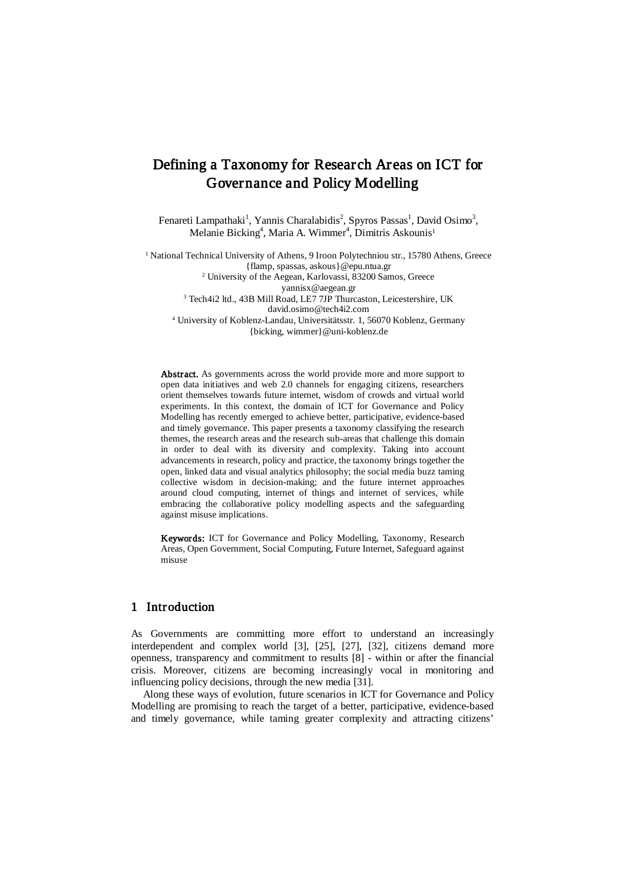# Defining a Taxonomy for Research Areas on ICT for Governance and Policy Modelling

Fenareti Lampathaki<sup>1</sup>, Yannis Charalabidis<sup>2</sup>, Spyros Passas<sup>1</sup>, David Osimo<sup>3</sup>, Melanie Bicking<sup>4</sup>, Maria A. Wimmer<sup>4</sup>, Dimitris Askounis<sup>1</sup>

<sup>1</sup> National Technical University of Athens, 9 Iroon Polytechniou str., 15780 Athens, Greece {flamp, spassas[, askous}@epu.ntua.gr](mailto:askous%7d@epu.ntua.gr) <sup>2</sup> University of the Aegean, Karlovassi, 83200 Samos, Greece [yannisx@aegean.gr](mailto:yannisx@aegean.gr)

<sup>3</sup> Tech4i2 ltd., 43B Mill Road, LE7 7JP Thurcaston, Leicestershire, UK david.osimo@tech4i2.com <sup>4</sup> University of Koblenz-Landau, Universitätsstr. 1, 56070 Koblenz, Germany {bicking, wimmer}@uni-koblenz.de

Abstract. As governments across the world provide more and more support to open data initiatives and web 2.0 channels for engaging citizens, researchers orient themselves towards future internet, wisdom of crowds and virtual world experiments. In this context, the domain of ICT for Governance and Policy Modelling has recently emerged to achieve better, participative, evidence-based and timely governance. This paper presents a taxonomy classifying the research themes, the research areas and the research sub-areas that challenge this domain in order to deal with its diversity and complexity. Taking into account advancements in research, policy and practice, the taxonomy brings together the open, linked data and visual analytics philosophy; the social media buzz taming collective wisdom in decision-making; and the future internet approaches around cloud computing, internet of things and internet of services, while embracing the collaborative policy modelling aspects and the safeguarding against misuse implications.

Keywords: ICT for Governance and Policy Modelling, Taxonomy, Research Areas, Open Government, Social Computing, Future Internet, Safeguard against misuse

## 1 Introduction

As Governments are committing more effort to understand an increasingly interdependent and complex world [\[3\]](#page-10-0), [\[25\]](#page-11-0), [\[27\]](#page-11-1), [\[32\]](#page-11-2), citizens demand more openness, transparency and commitment to results [\[8\]](#page-10-1) - within or after the financial crisis. Moreover, citizens are becoming increasingly vocal in monitoring and influencing policy decisions, through the new media [\[31\]](#page-11-3).

Along these ways of evolution, future scenarios in ICT for Governance and Policy Modelling are promising to reach the target of a better, participative, evidence-based and timely governance, while taming greater complexity and attracting citizens'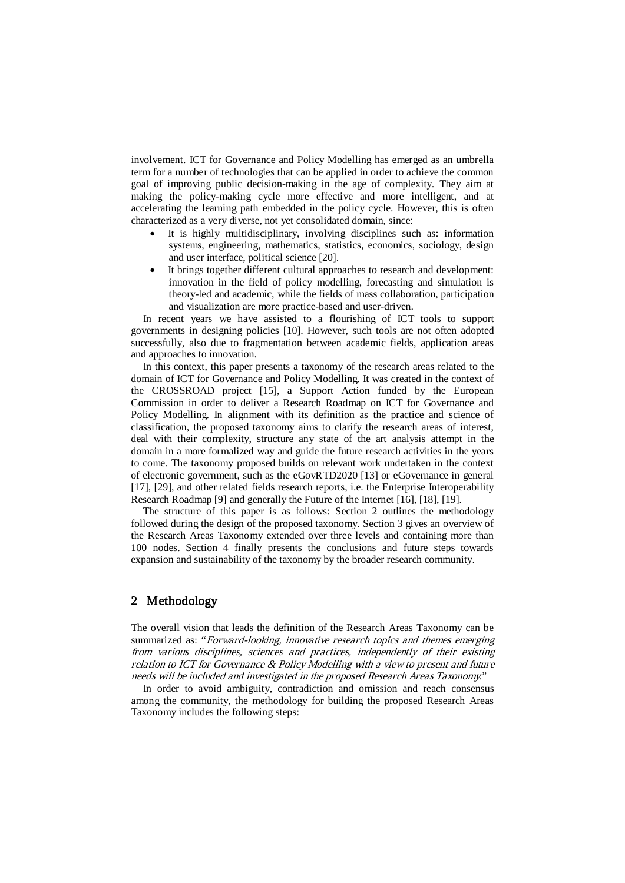involvement. ICT for Governance and Policy Modelling has emerged as an umbrella term for a number of technologies that can be applied in order to achieve the common goal of improving public decision-making in the age of complexity. They aim at making the policy-making cycle more effective and more intelligent, and at accelerating the learning path embedded in the policy cycle. However, this is often characterized as a very diverse, not yet consolidated domain, since:

- It is highly multidisciplinary, involving disciplines such as: information systems, engineering, mathematics, statistics, economics, sociology, design and user interface, political science [\[20\]](#page-11-4).
- It brings together different cultural approaches to research and development: innovation in the field of policy modelling, forecasting and simulation is theory-led and academic, while the fields of mass collaboration, participation and visualization are more practice-based and user-driven.

In recent years we have assisted to a flourishing of ICT tools to support governments in designing policies [\[10\]](#page-10-2). However, such tools are not often adopted successfully, also due to fragmentation between academic fields, application areas and approaches to innovation.

In this context, this paper presents a taxonomy of the research areas related to the domain of ICT for Governance and Policy Modelling. It was created in the context of the CROSSROAD project [\[15\]](#page-11-5), a Support Action funded by the European Commission in order to deliver a Research Roadmap on ICT for Governance and Policy Modelling. In alignment with its definition as the practice and science of classification, the proposed taxonomy aims to clarify the research areas of interest, deal with their complexity, structure any state of the art analysis attempt in the domain in a more formalized way and guide the future research activities in the years to come. The taxonomy proposed builds on relevant work undertaken in the context of electronic government, such as the eGovRTD2020 [\[13\]](#page-11-6) or eGovernance in general [\[17\]](#page-11-7), [\[29\]](#page-11-8), and other related fields research reports, i.e. the Enterprise Interoperability Research Roadmap [\[9\]](#page-10-3) and generally the Future of the Internet [\[16\]](#page-11-9), [\[18\]](#page-11-10), [\[19\]](#page-11-11).

The structure of this paper is as follows: Section 2 outlines the methodology followed during the design of the proposed taxonomy. Section 3 gives an overview of the Research Areas Taxonomy extended over three levels and containing more than 100 nodes. Section 4 finally presents the conclusions and future steps towards expansion and sustainability of the taxonomy by the broader research community.

## 2 Methodology

The overall vision that leads the definition of the Research Areas Taxonomy can be summarized as: "Forward-looking, innovative research topics and themes emerging from various disciplines, sciences and practices, independently of their existing relation to ICT for Governance & Policy Modelling with a view to present and future needs will be included and investigated in the proposed Research Areas Taxonomy."

In order to avoid ambiguity, contradiction and omission and reach consensus among the community, the methodology for building the proposed Research Areas Taxonomy includes the following steps: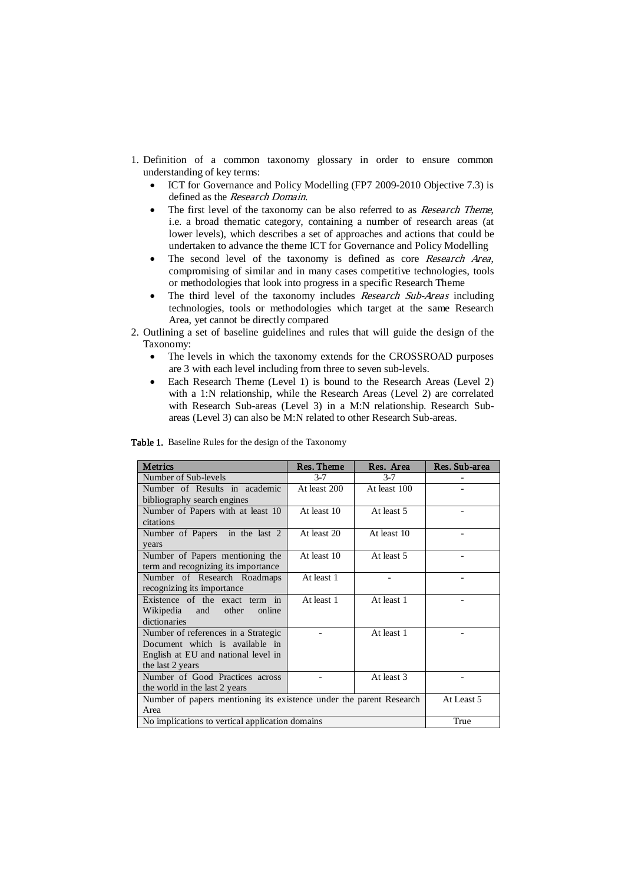- 1. Definition of a common taxonomy glossary in order to ensure common understanding of key terms:
	- ICT for Governance and Policy Modelling (FP7 2009-2010 Objective 7.3) is defined as the Research Domain.
	- The first level of the taxonomy can be also referred to as *Research Theme*, i.e. a broad thematic category, containing a number of research areas (at lower levels), which describes a set of approaches and actions that could be undertaken to advance the theme ICT for Governance and Policy Modelling
	- The second level of the taxonomy is defined as core Research Area, compromising of similar and in many cases competitive technologies, tools or methodologies that look into progress in a specific Research Theme
	- The third level of the taxonomy includes Research Sub-Areas including technologies, tools or methodologies which target at the same Research Area, yet cannot be directly compared
- 2. Outlining a set of baseline guidelines and rules that will guide the design of the Taxonomy:
	- The levels in which the taxonomy extends for the CROSSROAD purposes are 3 with each level including from three to seven sub-levels.
	- Each Research Theme (Level 1) is bound to the Research Areas (Level 2) with a 1:N relationship, while the Research Areas (Level 2) are correlated with Research Sub-areas (Level 3) in a M:N relationship. Research Subareas (Level 3) can also be M:N related to other Research Sub-areas.

| <b>Metrics</b>                                                      | Res. Theme   | Res. Area    | Res. Sub-area |
|---------------------------------------------------------------------|--------------|--------------|---------------|
| Number of Sub-levels                                                | $3 - 7$      | $3 - 7$      |               |
| Number of Results in academic                                       | At least 200 | At least 100 |               |
| bibliography search engines                                         |              |              |               |
| Number of Papers with at least 10                                   | At least 10  | At least 5   |               |
| citations                                                           |              |              |               |
| Number of Papers in the last 2                                      | At least 20  | At least 10  |               |
| years                                                               |              |              |               |
| Number of Papers mentioning the                                     | At least 10  | At least 5   |               |
| term and recognizing its importance                                 |              |              |               |
| Number of Research Roadmaps                                         | At least 1   |              |               |
| recognizing its importance                                          |              |              |               |
| Existence of the exact term in                                      | At least 1   | At least 1   |               |
| Wikipedia and<br>other<br>online                                    |              |              |               |
| dictionaries                                                        |              |              |               |
| Number of references in a Strategic                                 |              | At least 1   |               |
| Document which is available in                                      |              |              |               |
| English at EU and national level in                                 |              |              |               |
| the last 2 years                                                    |              |              |               |
| Number of Good Practices across                                     |              | At least 3   |               |
| the world in the last 2 years                                       |              |              |               |
| Number of papers mentioning its existence under the parent Research |              |              | At Least 5    |
| Area                                                                |              |              |               |
| No implications to vertical application domains                     |              | True         |               |

Table 1. Baseline Rules for the design of the Taxonomy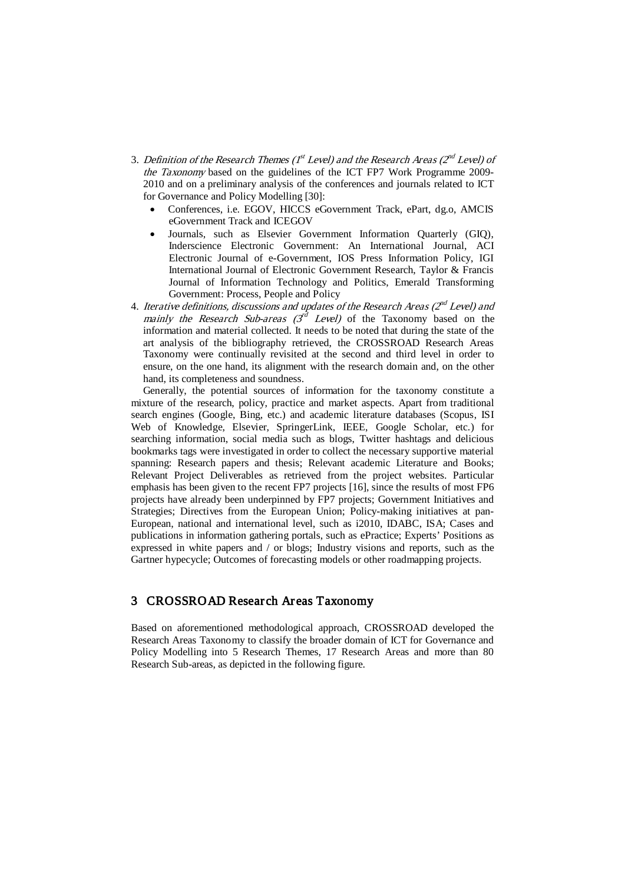- 3. Definition of the Research Themes ( $I^{st}$  Level) and the Research Areas ( $2^{nd}$  Level) of the Taxonomy based on the guidelines of the ICT FP7 Work Programme 2009- 2010 and on a preliminary analysis of the conferences and journals related to ICT for Governance and Policy Modelling [\[30\]](#page-11-12):
	- Conferences, i.e. EGOV, HICCS eGovernment Track, ePart, dg.o, AMCIS eGovernment Track and ICEGOV
	- Journals, such as Elsevier Government Information Quarterly (GIQ), Inderscience Electronic Government: An International Journal, ACI Electronic Journal of e-Government, IOS Press Information Policy, IGI International Journal of Electronic Government Research, Taylor & Francis Journal of Information Technology and Politics, Emerald Transforming Government: Process, People and Policy
- 4. Iterative definitions, discussions and updates of the Research Areas ( $2^{nd}$  Level) and mainly the Research Sub-areas  $\mathcal{F}^d$  Level) of the Taxonomy based on the information and material collected. It needs to be noted that during the state of the art analysis of the bibliography retrieved, the CROSSROAD Research Areas Taxonomy were continually revisited at the second and third level in order to ensure, on the one hand, its alignment with the research domain and, on the other hand, its completeness and soundness.

Generally, the potential sources of information for the taxonomy constitute a mixture of the research, policy, practice and market aspects. Apart from traditional search engines (Google, Bing, etc.) and academic literature databases (Scopus, ISI Web of Knowledge, Elsevier, SpringerLink, IEEE, Google Scholar, etc.) for searching information, social media such as blogs, Twitter hashtags and delicious bookmarks tags were investigated in order to collect the necessary supportive material spanning: Research papers and thesis; Relevant academic Literature and Books; Relevant Project Deliverables as retrieved from the project websites. Particular emphasis has been given to the recent FP7 projects [\[16\]](#page-11-9), since the results of most FP6 projects have already been underpinned by FP7 projects; Government Initiatives and Strategies; Directives from the European Union; Policy-making initiatives at pan-European, national and international level, such as i2010, IDABC, ISA; Cases and publications in information gathering portals, such as ePractice; Experts' Positions as expressed in white papers and / or blogs; Industry visions and reports, such as the Gartner hypecycle; Outcomes of forecasting models or other roadmapping projects.

## 3 CROSSROAD Research Areas Taxonomy

Based on aforementioned methodological approach, CROSSROAD developed the Research Areas Taxonomy to classify the broader domain of ICT for Governance and Policy Modelling into 5 Research Themes, 17 Research Areas and more than 80 Research Sub-areas, as depicted in the following figure.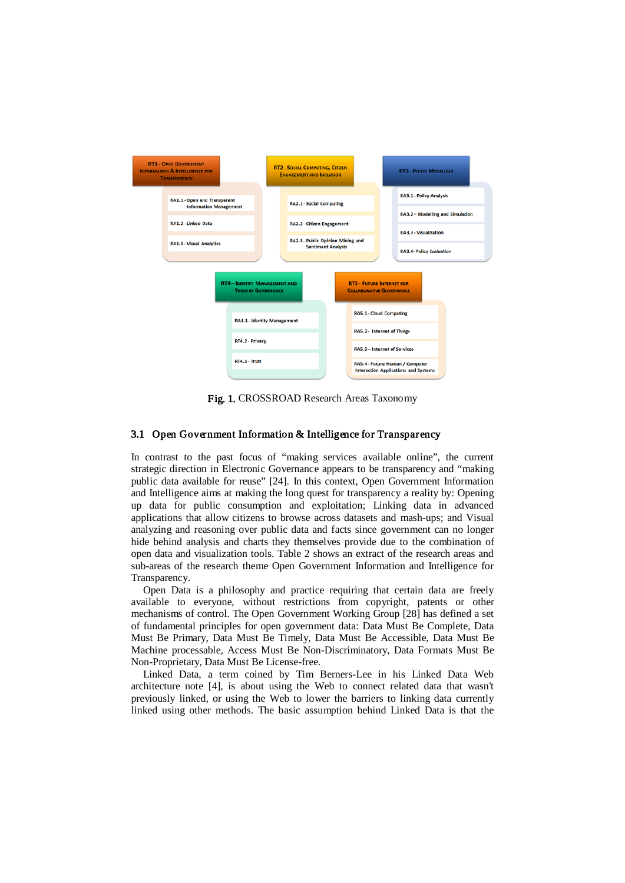

Fig. 1. CROSSROAD Research Areas Taxonomy

### 3.1 Open Government Information & Intelligence for Transparency

In contrast to the past focus of "making services available online", the current strategic direction in Electronic Governance appears to be transparency and "making public data available for reuse" [\[24\]](#page-11-13). In this context, Open Government Information and Intelligence aims at making the long quest for transparency a reality by: Opening up data for public consumption and exploitation; Linking data in advanced applications that allow citizens to browse across datasets and mash-ups; and Visual analyzing and reasoning over public data and facts since government can no longer hide behind analysis and charts they themselves provide due to the combination of open data and visualization tools. Table 2 shows an extract of the research areas and sub-areas of the research theme Open Government Information and Intelligence for Transparency.

Open Data is a philosophy and practice requiring that certain data are freely available to everyone, without restrictions from copyright, patents or other mechanisms of control. The Open Government Working Group [\[28\]](#page-11-14) has defined a set of fundamental principles for open government data: Data Must Be Complete, Data Must Be Primary, Data Must Be Timely, Data Must Be Accessible, Data Must Be Machine processable, Access Must Be Non-Discriminatory, Data Formats Must Be Non-Proprietary, Data Must Be License-free.

Linked Data, a term coined by Tim Berners-Lee in his Linked Data Web architecture note [\[4\]](#page-10-4), is about using the Web to connect related data that wasn't previously linked, or using the Web to lower the barriers to linking data currently linked using other methods. The basic assumption behind Linked Data is that the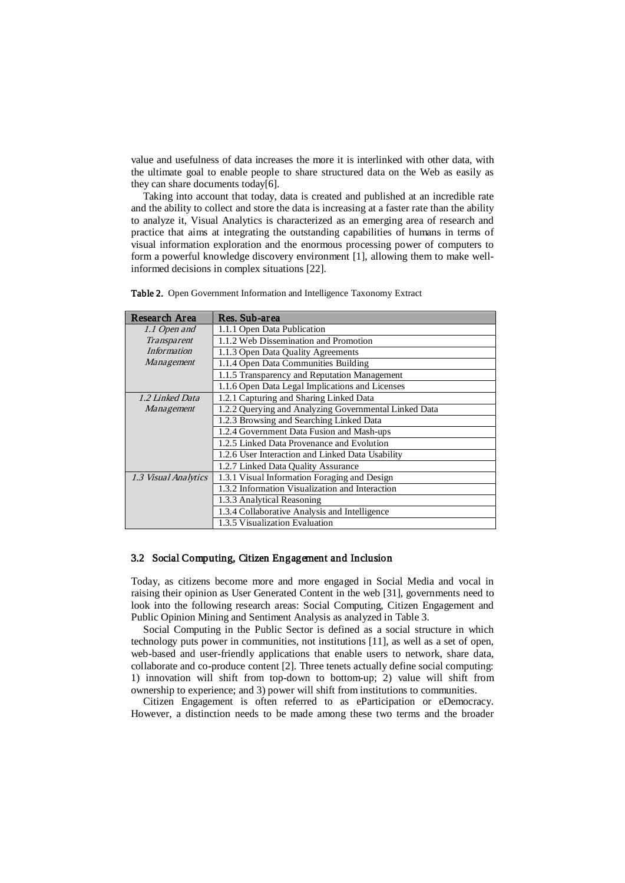value and usefulness of data increases the more it is interlinked with other data, with the ultimate goal to enable people to share structured data on the Web as easily as they can share documents today[\[6\]](#page-10-5).

Taking into account that today, data is created and published at an incredible rate and the ability to collect and store the data is increasing at a faster rate than the ability to analyze it, Visual Analytics is characterized as an emerging area of research and practice that aims at integrating the outstanding capabilities of humans in terms of visual information exploration and the enormous processing power of computers to form a powerful knowledge discovery environment [\[1\]](#page-10-6), allowing them to make wellinformed decisions in complex situations [\[22\]](#page-11-15).

| Research Area        | Res. Sub-area                                         |
|----------------------|-------------------------------------------------------|
| 1.1 Open and         | 1.1.1 Open Data Publication                           |
| Transparent          | 1.1.2 Web Dissemination and Promotion                 |
| <b>Information</b>   | 1.1.3 Open Data Quality Agreements                    |
| Management           | 1.1.4 Open Data Communities Building                  |
|                      | 1.1.5 Transparency and Reputation Management          |
|                      | 1.1.6 Open Data Legal Implications and Licenses       |
| 1.2 Linked Data      | 1.2.1 Capturing and Sharing Linked Data               |
| <i>Management</i>    | 1.2.2 Querying and Analyzing Governmental Linked Data |
|                      | 1.2.3 Browsing and Searching Linked Data              |
|                      | 1.2.4 Government Data Fusion and Mash-ups             |
|                      | 1.2.5 Linked Data Provenance and Evolution            |
|                      | 1.2.6 User Interaction and Linked Data Usability      |
|                      | 1.2.7 Linked Data Quality Assurance                   |
| 1.3 Visual Analytics | 1.3.1 Visual Information Foraging and Design          |
|                      | 1.3.2 Information Visualization and Interaction       |
|                      | 1.3.3 Analytical Reasoning                            |
|                      | 1.3.4 Collaborative Analysis and Intelligence         |
|                      | 1.3.5 Visualization Evaluation                        |

Table 2. Open Government Information and Intelligence Taxonomy Extract

### 3.2 Social Computing, Citizen Engagement and Inclusion

Today, as citizens become more and more engaged in Social Media and vocal in raising their opinion as User Generated Content in the web [\[31\]](#page-11-3), governments need to look into the following research areas: Social Computing, Citizen Engagement and Public Opinion Mining and Sentiment Analysis as analyzed in Table 3.

Social Computing in the Public Sector is defined as a social structure in which technology puts power in communities, not institutions [\[11\]](#page-11-16), as well as a set of open, web-based and user-friendly applications that enable users to network, share data, collaborate and co-produce content [\[2\]](#page-10-7). Three tenets actually define social computing: 1) innovation will shift from top-down to bottom-up; 2) value will shift from ownership to experience; and 3) power will shift from institutions to communities.

Citizen Engagement is often referred to as eParticipation or eDemocracy. However, a distinction needs to be made among these two terms and the broader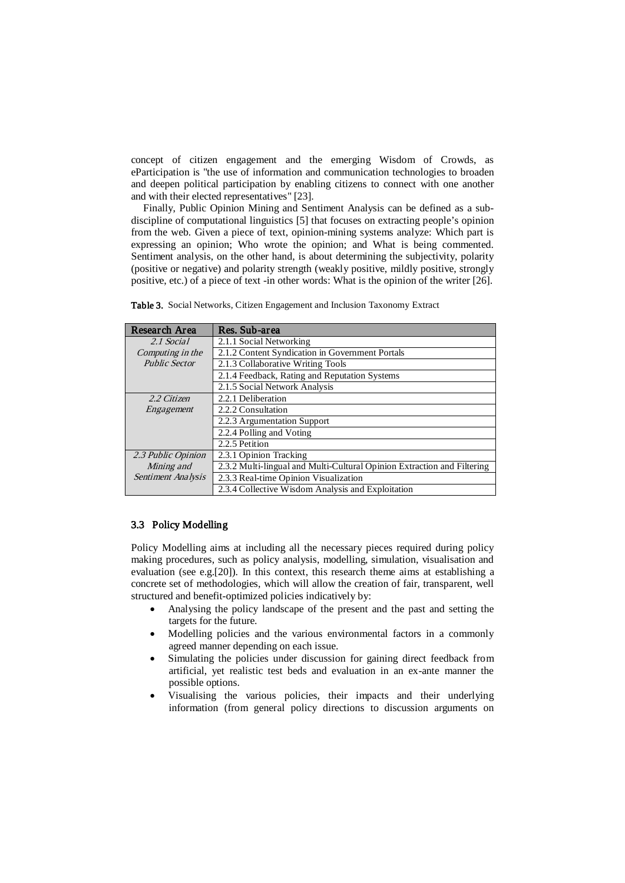concept of citizen engagement and the emerging Wisdom of Crowds, as eParticipation is "the use of information and communication technologies to broaden and deepen political participation by enabling citizens to connect with one another and with their elected representatives" [\[23\]](#page-11-17).

Finally, Public Opinion Mining and Sentiment Analysis can be defined as a subdiscipline of computational linguistics [\[5\]](#page-10-8) that focuses on extracting people's opinion from the web. Given a piece of text, opinion-mining systems analyze: Which part is expressing an opinion; Who wrote the opinion; and What is being commented. Sentiment analysis, on the other hand, is about determining the subjectivity, polarity (positive or negative) and polarity strength (weakly positive, mildly positive, strongly positive, etc.) of a piece of text -in other words: What is the opinion of the writer [\[26\]](#page-11-18).

| Research Area        | Res. Sub-area                                                           |  |
|----------------------|-------------------------------------------------------------------------|--|
| 2.1 Social           | 2.1.1 Social Networking                                                 |  |
| Computing in the     | 2.1.2 Content Syndication in Government Portals                         |  |
| <b>Public Sector</b> | 2.1.3 Collaborative Writing Tools                                       |  |
|                      | 2.1.4 Feedback, Rating and Reputation Systems                           |  |
|                      | 2.1.5 Social Network Analysis                                           |  |
| 2.2 Citizen          | 2.2.1 Deliberation                                                      |  |
| Engagement           | 2.2.2 Consultation                                                      |  |
|                      | 2.2.3 Argumentation Support                                             |  |
|                      | 2.2.4 Polling and Voting                                                |  |
|                      | 2.2.5 Petition                                                          |  |
| 2.3 Public Opinion   | 2.3.1 Opinion Tracking                                                  |  |
| Mining and           | 2.3.2 Multi-lingual and Multi-Cultural Opinion Extraction and Filtering |  |
| Sentiment Analysis   | 2.3.3 Real-time Opinion Visualization                                   |  |
|                      | 2.3.4 Collective Wisdom Analysis and Exploitation                       |  |

Table 3. Social Networks, Citizen Engagement and Inclusion Taxonomy Extract

### 3.3 Policy Modelling

Policy Modelling aims at including all the necessary pieces required during policy making procedures, such as policy analysis, modelling, simulation, visualisation and evaluation (see e.g.[\[20\]](#page-11-4)). In this context, this research theme aims at establishing a concrete set of methodologies, which will allow the creation of fair, transparent, well structured and benefit-optimized policies indicatively by:

- Analysing the policy landscape of the present and the past and setting the targets for the future.
- Modelling policies and the various environmental factors in a commonly agreed manner depending on each issue.
- Simulating the policies under discussion for gaining direct feedback from artificial, yet realistic test beds and evaluation in an ex-ante manner the possible options.
- Visualising the various policies, their impacts and their underlying information (from general policy directions to discussion arguments on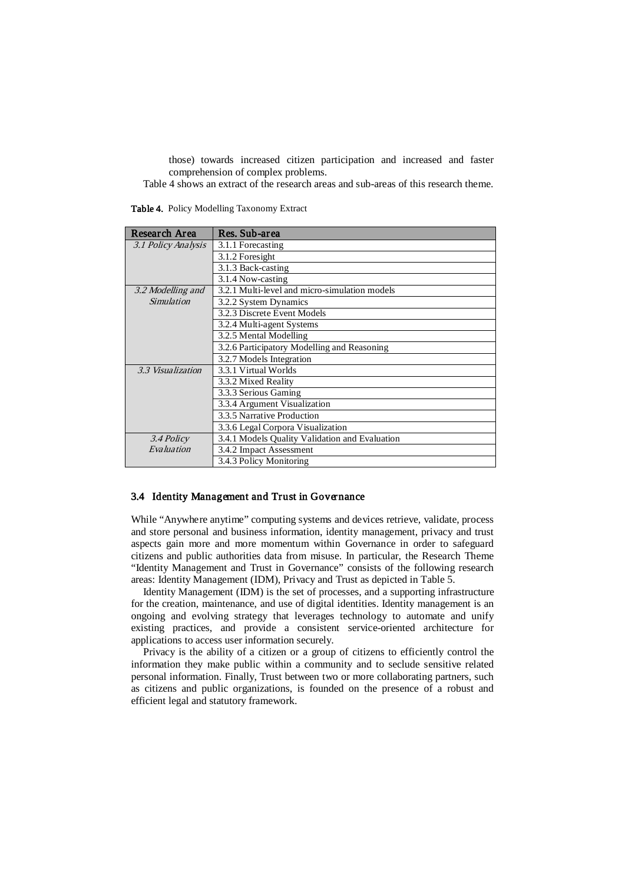those) towards increased citizen participation and increased and faster comprehension of complex problems.

Table 4 shows an extract of the research areas and sub-areas of this research theme.

Research Area Res. Sub-area<br>3.1 Policy Analysis 3.1.1 Forecasting 3.1 Policy Analysis 3.1.2 Foresight 3.1.3 Back-casting 3.1.4 Now-casting 3.2 Modelling and Simulation 3.2.1 Multi-level and micro-simulation models 3.2.2 System Dynamics 3.2.3 Discrete Event Models 3.2.4 Multi-agent Systems 3.2.5 Mental Modelling 3.2.6 Participatory Modelling and Reasoning 3.2.7 Models Integration 3.3 Visualization 3.3.1 Virtual Worlds 3.3.2 Mixed Reality 3.3.3 Serious Gaming 3.3.4 Argument Visualization 3.3.5 Narrative Production 3.3.6 Legal Corpora Visualization 3.4 Policy Evaluation 3.4.1 Models Quality Validation and Evaluation 3.4.2 Impact Assessment 3.4.3 Policy Monitoring

Table 4. Policy Modelling Taxonomy Extract

#### 3.4 Identity Management and Trust in Governance

While "Anywhere anytime" computing systems and devices retrieve, validate, process and store personal and business information, identity management, privacy and trust aspects gain more and more momentum within Governance in order to safeguard citizens and public authorities data from misuse. In particular, the Research Theme "Identity Management and Trust in Governance" consists of the following research areas: Identity Management (IDM), Privacy and Trust as depicted in Table 5.

Identity Management (IDM) is the set of processes, and a supporting infrastructure for the creation, maintenance, and use of digital identities. Identity management is an ongoing and evolving strategy that leverages technology to automate and unify existing practices, and provide a consistent service-oriented architecture for applications to access user information securely.

Privacy is the ability of a citizen or a group of citizens to efficiently control the information they make public within a community and to seclude sensitive related personal information. Finally, Trust between two or more collaborating partners, such as citizens and public organizations, is founded on the presence of a robust and efficient legal and statutory framework.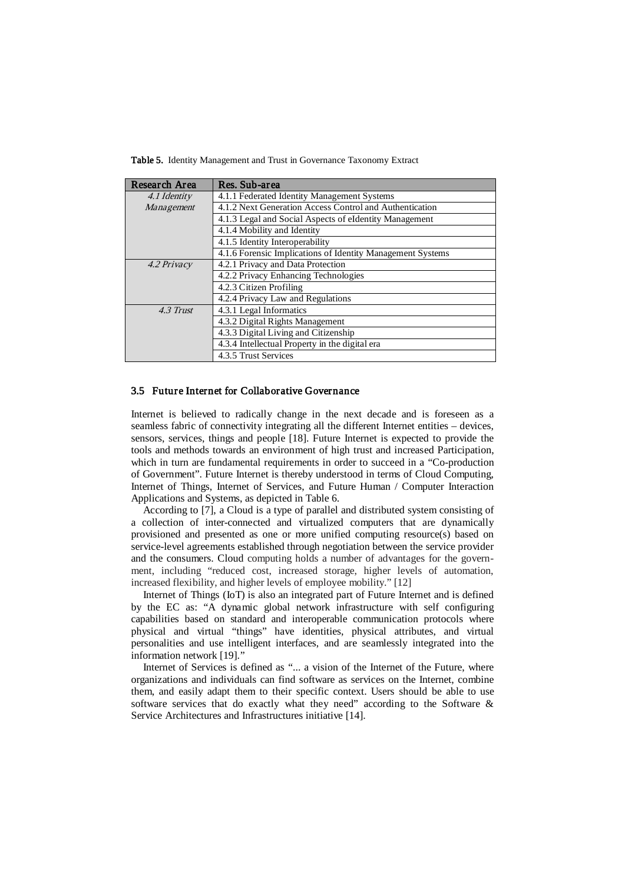Table 5. Identity Management and Trust in Governance Taxonomy Extract

| Research Area | Res. Sub-area                                              |
|---------------|------------------------------------------------------------|
| 4.1 Identity  | 4.1.1 Federated Identity Management Systems                |
| Management    | 4.1.2 Next Generation Access Control and Authentication    |
|               | 4.1.3 Legal and Social Aspects of eldentity Management     |
|               | 4.1.4 Mobility and Identity                                |
|               | 4.1.5 Identity Interoperability                            |
|               | 4.1.6 Forensic Implications of Identity Management Systems |
| 4.2 Privacy   | 4.2.1 Privacy and Data Protection                          |
|               | 4.2.2 Privacy Enhancing Technologies                       |
|               | 4.2.3 Citizen Profiling                                    |
|               | 4.2.4 Privacy Law and Regulations                          |
| 4.3 Trust     | 4.3.1 Legal Informatics                                    |
|               | 4.3.2 Digital Rights Management                            |
|               | 4.3.3 Digital Living and Citizenship                       |
|               | 4.3.4 Intellectual Property in the digital era             |
|               | 4.3.5 Trust Services                                       |

### 3.5 Future Internet for Collaborative Governance

Internet is believed to radically change in the next decade and is foreseen as a seamless fabric of connectivity integrating all the different Internet entities – devices, sensors, services, things and people [\[18\]](#page-11-10). Future Internet is expected to provide the tools and methods towards an environment of high trust and increased Participation, which in turn are fundamental requirements in order to succeed in a "Co-production of Government". Future Internet is thereby understood in terms of Cloud Computing, Internet of Things, Internet of Services, and Future Human / Computer Interaction Applications and Systems, as depicted in Table 6.

According to [\[7\]](#page-10-9), a Cloud is a type of parallel and distributed system consisting of a collection of inter-connected and virtualized computers that are dynamically provisioned and presented as one or more unified computing resource(s) based on service-level agreements established through negotiation between the service provider and the consumers. Cloud computing holds a number of advantages for the government, including "reduced cost, increased storage, higher levels of automation, increased flexibility, and higher levels of employee mobility." [\[12\]](#page-11-19)

Internet of Things (IoT) is also an integrated part of Future Internet and is defined by the EC as: "A dynamic global network infrastructure with self configuring capabilities based on standard and interoperable communication protocols where physical and virtual "things" have identities, physical attributes, and virtual personalities and use intelligent interfaces, and are seamlessly integrated into the information network [\[19\]](#page-11-11)."

Internet of Services is defined as "... a vision of the Internet of the Future, where organizations and individuals can find software as services on the Internet, combine them, and easily adapt them to their specific context. Users should be able to use software services that do exactly what they need" according to the Software  $\&$ Service Architectures and Infrastructures initiative [\[14\]](#page-11-20).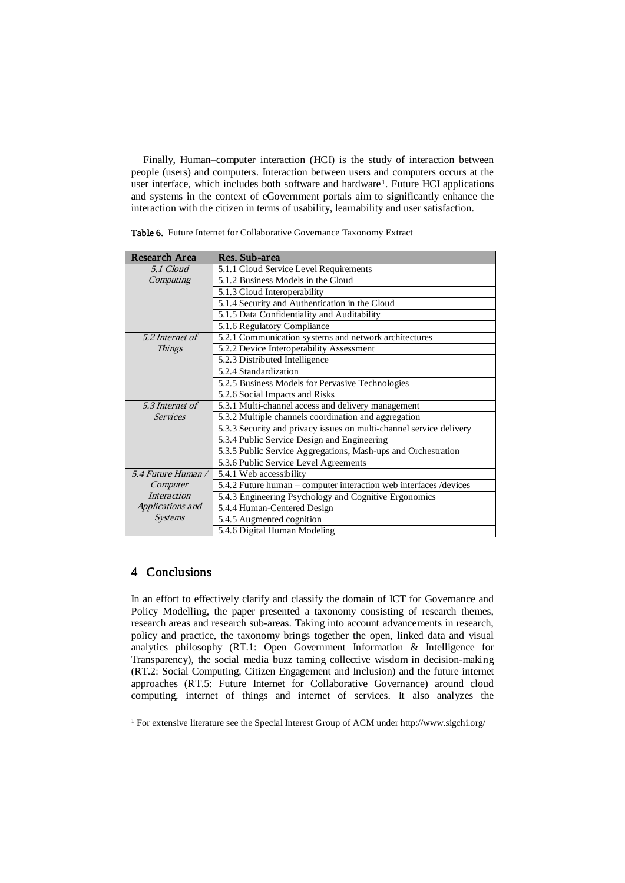Finally, Human–computer interaction (HCI) is the study of interaction between people (users) and computers. Interaction between users and computers occurs at the user interface, which includes both software and hardware [1](#page-9-0) . Future HCI applications and systems in the context of eGovernment portals aim to significantly enhance the interaction with the citizen in terms of usability, learnability and user satisfaction.

| Research Area      | Res. Sub-area                                                       |
|--------------------|---------------------------------------------------------------------|
| 5.1 Cloud          | 5.1.1 Cloud Service Level Requirements                              |
| Computing          | 5.1.2 Business Models in the Cloud                                  |
|                    | 5.1.3 Cloud Interoperability                                        |
|                    | 5.1.4 Security and Authentication in the Cloud                      |
|                    | 5.1.5 Data Confidentiality and Auditability                         |
|                    | 5.1.6 Regulatory Compliance                                         |
| 5.2 Internet of    | 5.2.1 Communication systems and network architectures               |
| <b>Things</b>      | 5.2.2 Device Interoperability Assessment                            |
|                    | 5.2.3 Distributed Intelligence                                      |
|                    | 5.2.4 Standardization                                               |
|                    | 5.2.5 Business Models for Pervasive Technologies                    |
|                    | 5.2.6 Social Impacts and Risks                                      |
| 5.3 Internet of    | 5.3.1 Multi-channel access and delivery management                  |
| <b>Services</b>    | 5.3.2 Multiple channels coordination and aggregation                |
|                    | 5.3.3 Security and privacy issues on multi-channel service delivery |
|                    | 5.3.4 Public Service Design and Engineering                         |
|                    | 5.3.5 Public Service Aggregations, Mash-ups and Orchestration       |
|                    | 5.3.6 Public Service Level Agreements                               |
| 5.4 Future Human / | 5.4.1 Web accessibility                                             |
| Computer           | 5.4.2 Future human – computer interaction web interfaces /devices   |
| <i>Interaction</i> | 5.4.3 Engineering Psychology and Cognitive Ergonomics               |
| Applications and   | 5.4.4 Human-Centered Design                                         |
| <b>Systems</b>     | 5.4.5 Augmented cognition                                           |
|                    | 5.4.6 Digital Human Modeling                                        |

Table 6. Future Internet for Collaborative Governance Taxonomy Extract

## 4 Conclusions

In an effort to effectively clarify and classify the domain of ICT for Governance and Policy Modelling, the paper presented a taxonomy consisting of research themes, research areas and research sub-areas. Taking into account advancements in research, policy and practice, the taxonomy brings together the open, linked data and visual analytics philosophy (RT.1: Open Government Information & Intelligence for Transparency), the social media buzz taming collective wisdom in decision-making (RT.2: Social Computing, Citizen Engagement and Inclusion) and the future internet approaches (RT.5: Future Internet for Collaborative Governance) around cloud computing, internet of things and internet of services. It also analyzes the

<span id="page-9-0"></span><sup>&</sup>lt;sup>1</sup> For extensive literature see the Special Interest Group of ACM under http://www.sigchi.org/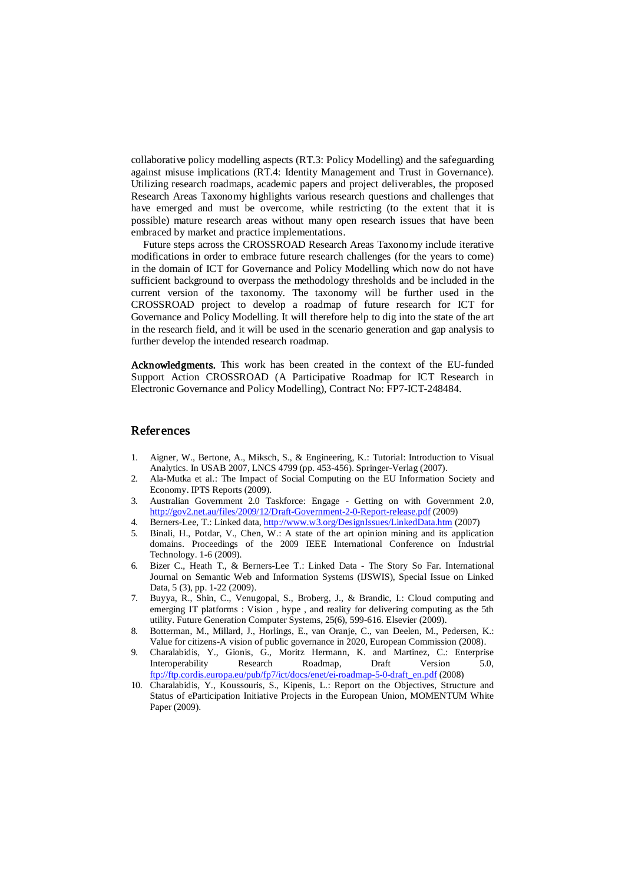collaborative policy modelling aspects (RT.3: Policy Modelling) and the safeguarding against misuse implications (RT.4: Identity Management and Trust in Governance). Utilizing research roadmaps, academic papers and project deliverables, the proposed Research Areas Taxonomy highlights various research questions and challenges that have emerged and must be overcome, while restricting (to the extent that it is possible) mature research areas without many open research issues that have been embraced by market and practice implementations.

Future steps across the CROSSROAD Research Areas Taxonomy include iterative modifications in order to embrace future research challenges (for the years to come) in the domain of ICT for Governance and Policy Modelling which now do not have sufficient background to overpass the methodology thresholds and be included in the current version of the taxonomy. The taxonomy will be further used in the CROSSROAD project to develop a roadmap of future research for ICT for Governance and Policy Modelling. It will therefore help to dig into the state of the art in the research field, and it will be used in the scenario generation and gap analysis to further develop the intended research roadmap.

Acknowledgments. This work has been created in the context of the EU-funded Support Action CROSSROAD (A Participative Roadmap for ICT Research in Electronic Governance and Policy Modelling), Contract No: FP7-ICT-248484.

## References

- <span id="page-10-6"></span>1. Aigner, W., Bertone, A., Miksch, S., & Engineering, K.: Tutorial: Introduction to Visual Analytics. In USAB 2007, LNCS 4799 (pp. 453-456). Springer-Verlag (2007).
- <span id="page-10-7"></span>2. Ala-Mutka et al.: The Impact of Social Computing on the EU Information Society and Economy. IPTS Reports (2009).
- <span id="page-10-0"></span>3. Australian Government 2.0 Taskforce: Engage - Getting on with Government 2.0, <http://gov2.net.au/files/2009/12/Draft-Government-2-0-Report-release.pdf> (2009)
- <span id="page-10-4"></span>4. Berners-Lee, T.: Linked data[, http://www.w3.org/DesignIssues/LinkedData.htm](http://www.w3.org/DesignIssues/LinkedData.htm) (2007)
- <span id="page-10-8"></span>5. Binali, H., Potdar, V., Chen, W.: A state of the art opinion mining and its application domains. Proceedings of the 2009 IEEE International Conference on Industrial Technology. 1-6 (2009).
- <span id="page-10-5"></span>6. Bizer C., Heath T., & Berners-Lee T.: Linked Data - The Story So Far. International Journal on Semantic Web and Information Systems (IJSWIS), Special Issue on Linked Data, 5 (3), pp. 1-22 (2009).
- <span id="page-10-9"></span>7. Buyya, R., Shin, C., Venugopal, S., Broberg, J., & Brandic, I.: Cloud computing and emerging IT platforms : Vision , hype , and reality for delivering computing as the 5th utility. Future Generation Computer Systems, 25(6), 599-616. Elsevier (2009).
- <span id="page-10-1"></span>8. Botterman, M., Millard, J., Horlings, E., van Oranje, C., van Deelen, M., Pedersen, K.: Value for citizens-A vision of public governance in 2020, European Commission (2008).
- <span id="page-10-3"></span>9. Charalabidis, Y., Gionis, G., Moritz Hermann, K. and Martinez, C.: Enterprise Interoperability Research Roadmap, Draft Version 5.0, [ftp://ftp.cordis.europa.eu/pub/fp7/ict/docs/enet/ei-roadmap-5-0-draft\\_en.pdf](ftp://ftp.cordis.europa.eu/pub/fp7/ict/docs/enet/ei-roadmap-5-0-draft_en.pdf) (2008)
- <span id="page-10-2"></span>10. Charalabidis, Y., Koussouris, S., Kipenis, L.: Report on the Objectives, Structure and Status of eParticipation Initiative Projects in the European Union, MOMENTUM White Paper (2009).